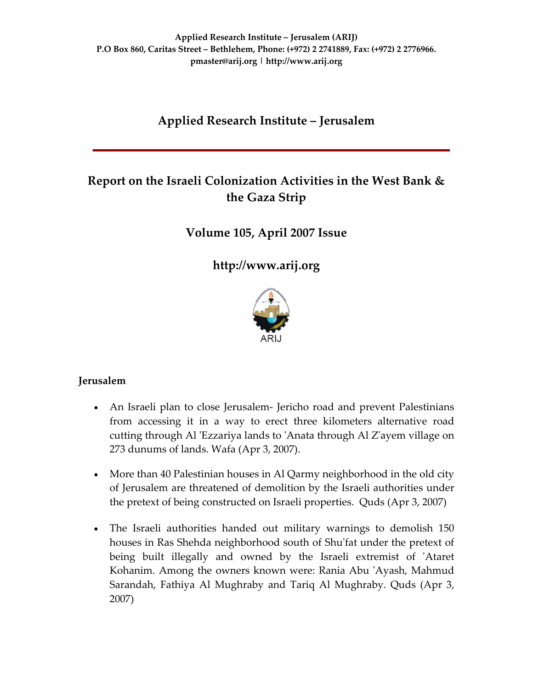# **Applied Research Institute – Jerusalem**

# **Report on the Israeli Colonization Activities in the West Bank & the Gaza Strip**

## **Volume 105, April 2007 Issue**

**[http://www.arij.org](http://www.arij.org/)**



### **Jerusalem**

- An Israeli plan to close Jerusalem- Jericho road and prevent Palestinians from accessing it in a way to erect three kilometers alternative road cutting through Al 'Ezzariya lands to 'Anata through Al Z'ayem village on 273 dunums of lands. Wafa (Apr 3, 2007).
- More than 40 Palestinian houses in Al Qarmy neighborhood in the old city of Jerusalem are threatened of demolition by the Israeli authorities under the pretext of being constructed on Israeli properties. Quds (Apr 3, 2007)
- The Israeli authorities handed out military warnings to demolish 150 houses in Ras Shehda neighborhood south of Shu'fat under the pretext of being built illegally and owned by the Israeli extremist of ʹAtaret Kohanim. Among the owners known were: Rania Abu 'Ayash, Mahmud Sarandah, Fathiya Al Mughraby and Tariq Al Mughraby. Quds (Apr 3, 2007)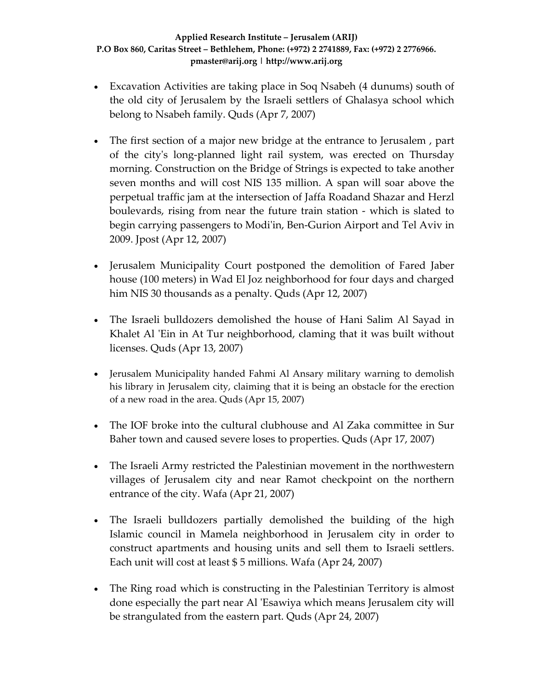- Excavation Activities are taking place in Soq Nsabeh (4 dunums) south of the old city of Jerusalem by the Israeli settlers of Ghalasya school which belong to Nsabeh family. Quds (Apr 7, 2007)
- The first section of a major new bridge at the entrance to Jerusalem, part of the cityʹs long‐planned light rail system, was erected on Thursday morning. Construction on the Bridge of Strings is expected to take another seven months and will cost NIS 135 million. A span will soar above the perpetual traffic jam at the intersection of Jaffa Roadand Shazar and Herzl boulevards, rising from near the future train station ‐ which is slated to begin carrying passengers to Modi'in, Ben-Gurion Airport and Tel Aviv in 2009. Jpost (Apr 12, 2007)
- Jerusalem Municipality Court postponed the demolition of Fared Jaber house (100 meters) in Wad El Joz neighborhood for four days and charged him NIS 30 thousands as a penalty. Quds (Apr 12, 2007)
- The Israeli bulldozers demolished the house of Hani Salim Al Sayad in Khalet Al 'Ein in At Tur neighborhood, claming that it was built without licenses. Quds (Apr 13, 2007)
- Jerusalem Municipality handed Fahmi Al Ansary military warning to demolish his library in Jerusalem city, claiming that it is being an obstacle for the erection of a new road in the area. Quds (Apr 15, 2007)
- The IOF broke into the cultural clubhouse and Al Zaka committee in Sur Baher town and caused severe loses to properties. Quds (Apr 17, 2007)
- The Israeli Army restricted the Palestinian movement in the northwestern villages of Jerusalem city and near Ramot checkpoint on the northern entrance of the city. Wafa (Apr 21, 2007)
- The Israeli bulldozers partially demolished the building of the high Islamic council in Mamela neighborhood in Jerusalem city in order to construct apartments and housing units and sell them to Israeli settlers. Each unit will cost at least \$ 5 millions. Wafa (Apr 24, 2007)
- The Ring road which is constructing in the Palestinian Territory is almost done especially the part near Al ʹEsawiya which means Jerusalem city will be strangulated from the eastern part. Quds (Apr 24, 2007)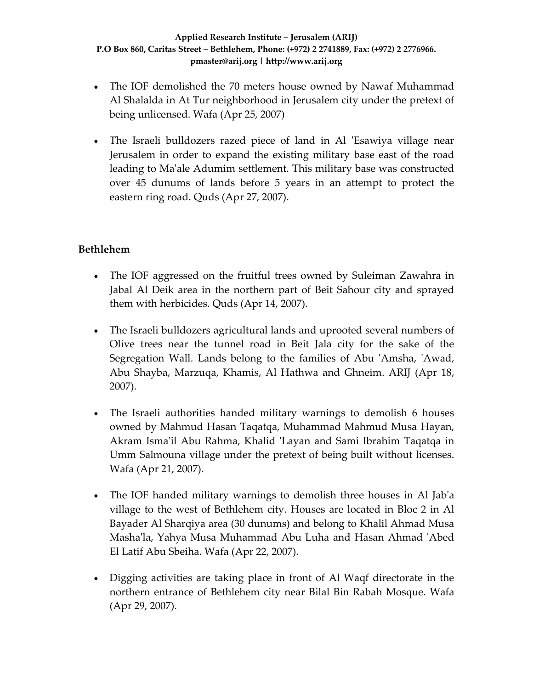- The IOF demolished the 70 meters house owned by Nawaf Muhammad Al Shalalda in At Tur neighborhood in Jerusalem city under the pretext of being unlicensed. Wafa (Apr 25, 2007)
- The Israeli bulldozers razed piece of land in Al 'Esawiya village near Jerusalem in order to expand the existing military base east of the road leading to Maʹale Adumim settlement. This military base was constructed over 45 dunums of lands before 5 years in an attempt to protect the eastern ring road. Quds (Apr 27, 2007).

## **Bethlehem**

- The IOF aggressed on the fruitful trees owned by Suleiman Zawahra in Jabal Al Deik area in the northern part of Beit Sahour city and sprayed them with herbicides. Quds (Apr 14, 2007).
- The Israeli bulldozers agricultural lands and uprooted several numbers of Olive trees near the tunnel road in Beit Jala city for the sake of the Segregation Wall. Lands belong to the families of Abu 'Amsha, 'Awad, Abu Shayba, Marzuqa, Khamis, Al Hathwa and Ghneim. ARIJ (Apr 18, 2007).
- The Israeli authorities handed military warnings to demolish 6 houses owned by Mahmud Hasan Taqatqa, Muhammad Mahmud Musa Hayan, Akram Ismaʹil Abu Rahma, Khalid ʹLayan and Sami Ibrahim Taqatqa in Umm Salmouna village under the pretext of being built without licenses. Wafa (Apr 21, 2007).
- The IOF handed military warnings to demolish three houses in Al Jab'a village to the west of Bethlehem city. Houses are located in Bloc 2 in Al Bayader Al Sharqiya area (30 dunums) and belong to Khalil Ahmad Musa Mashaʹla, Yahya Musa Muhammad Abu Luha and Hasan Ahmad ʹAbed El Latif Abu Sbeiha. Wafa (Apr 22, 2007).
- Digging activities are taking place in front of Al Waqf directorate in the northern entrance of Bethlehem city near Bilal Bin Rabah Mosque. Wafa (Apr 29, 2007).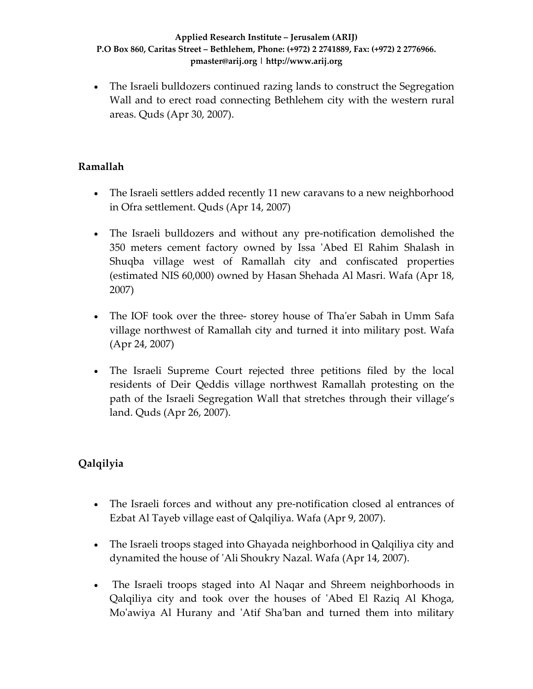• The Israeli bulldozers continued razing lands to construct the Segregation Wall and to erect road connecting Bethlehem city with the western rural areas. Quds (Apr 30, 2007).

## **Ramallah**

- The Israeli settlers added recently 11 new caravans to a new neighborhood in Ofra settlement. Quds (Apr 14, 2007)
- The Israeli bulldozers and without any pre-notification demolished the 350 meters cement factory owned by Issa ʹAbed El Rahim Shalash in Shuqba village west of Ramallah city and confiscated properties (estimated NIS 60,000) owned by Hasan Shehada Al Masri. Wafa (Apr 18, 2007)
- The IOF took over the three-storey house of Tha'er Sabah in Umm Safa village northwest of Ramallah city and turned it into military post. Wafa (Apr 24, 2007)
- The Israeli Supreme Court rejected three petitions filed by the local residents of Deir Qeddis village northwest Ramallah protesting on the path of the Israeli Segregation Wall that stretches through their village's land. Quds (Apr 26, 2007).

# **Qalqilyia**

- The Israeli forces and without any pre-notification closed al entrances of Ezbat Al Tayeb village east of Qalqiliya. Wafa (Apr 9, 2007).
- The Israeli troops staged into Ghayada neighborhood in Qalqiliya city and dynamited the house of ʹAli Shoukry Nazal. Wafa (Apr 14, 2007).
- The Israeli troops staged into Al Naqar and Shreem neighborhoods in Qalqiliya city and took over the houses of ʹAbed El Raziq Al Khoga, Mo'awiya Al Hurany and 'Atif Sha'ban and turned them into military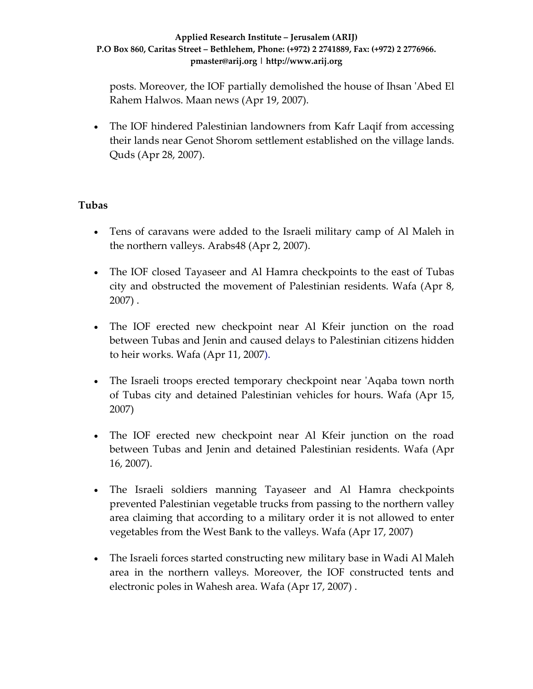posts. Moreover, the IOF partially demolished the house of Ihsan ʹAbed El Rahem Halwos. Maan news (Apr 19, 2007).

• The IOF hindered Palestinian landowners from Kafr Laqif from accessing their lands near Genot Shorom settlement established on the village lands. Quds (Apr 28, 2007).

### **Tubas**

- Tens of caravans were added to the Israeli military camp of Al Maleh in the northern valleys. Arabs48 (Apr 2, 2007).
- The IOF closed Tayaseer and Al Hamra checkpoints to the east of Tubas city and obstructed the movement of Palestinian residents. Wafa (Apr 8, 2007) .
- The IOF erected new checkpoint near Al Kfeir junction on the road between Tubas and Jenin and caused delays to Palestinian citizens hidden to heir works. Wafa (Apr 11, 2007).
- The Israeli troops erected temporary checkpoint near 'Aqaba town north of Tubas city and detained Palestinian vehicles for hours. Wafa (Apr 15, 2007)
- The IOF erected new checkpoint near Al Kfeir junction on the road between Tubas and Jenin and detained Palestinian residents. Wafa (Apr 16, 2007).
- The Israeli soldiers manning Tayaseer and Al Hamra checkpoints prevented Palestinian vegetable trucks from passing to the northern valley area claiming that according to a military order it is not allowed to enter vegetables from the West Bank to the valleys. Wafa (Apr 17, 2007)
- The Israeli forces started constructing new military base in Wadi Al Maleh area in the northern valleys. Moreover, the IOF constructed tents and electronic poles in Wahesh area. Wafa (Apr 17, 2007) .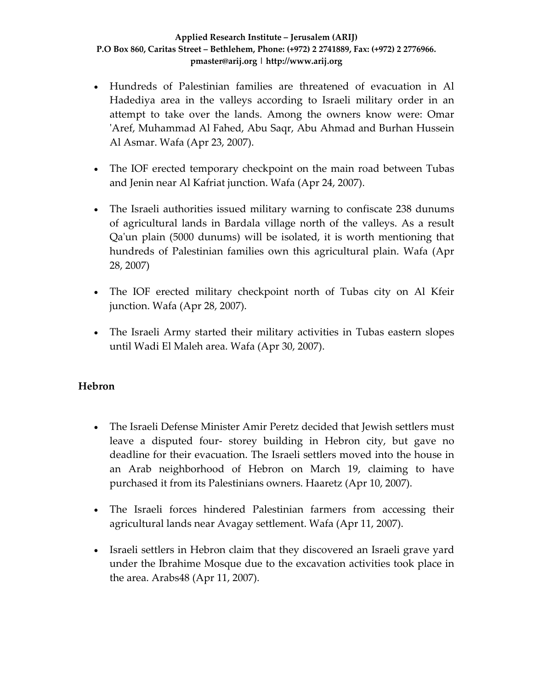- Hundreds of Palestinian families are threatened of evacuation in Al Hadediya area in the valleys according to Israeli military order in an attempt to take over the lands. Among the owners know were: Omar 'Aref, Muhammad Al Fahed, Abu Saqr, Abu Ahmad and Burhan Hussein Al Asmar. Wafa (Apr 23, 2007).
- The IOF erected temporary checkpoint on the main road between Tubas and Jenin near Al Kafriat junction. Wafa (Apr 24, 2007).
- The Israeli authorities issued military warning to confiscate 238 dunums of agricultural lands in Bardala village north of the valleys. As a result Qaʹun plain (5000 dunums) will be isolated, it is worth mentioning that hundreds of Palestinian families own this agricultural plain. Wafa (Apr 28, 2007)
- The IOF erected military checkpoint north of Tubas city on Al Kfeir junction. Wafa (Apr 28, 2007).
- The Israeli Army started their military activities in Tubas eastern slopes until Wadi El Maleh area. Wafa (Apr 30, 2007).

### **Hebron**

- The Israeli Defense Minister Amir Peretz decided that Jewish settlers must leave a disputed four‐ storey building in Hebron city, but gave no deadline for their evacuation. The Israeli settlers moved into the house in an Arab neighborhood of Hebron on March 19, claiming to have purchased it from its Palestinians owners. Haaretz (Apr 10, 2007).
- The Israeli forces hindered Palestinian farmers from accessing their agricultural lands near Avagay settlement. Wafa (Apr 11, 2007).
- Israeli settlers in Hebron claim that they discovered an Israeli grave yard under the Ibrahime Mosque due to the excavation activities took place in the area. Arabs48 (Apr 11, 2007).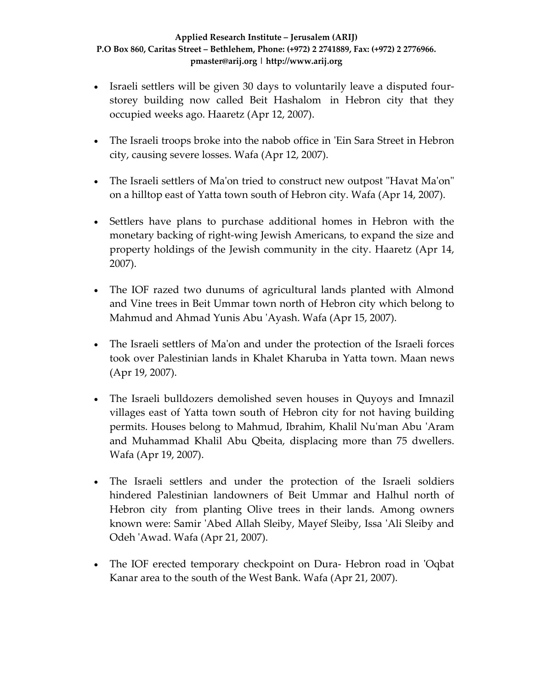- Israeli settlers will be given 30 days to voluntarily leave a disputed fourstorey building now called Beit Hashalom in Hebron city that they occupied weeks ago. Haaretz (Apr 12, 2007).
- The Israeli troops broke into the nabob office in 'Ein Sara Street in Hebron city, causing severe losses. Wafa (Apr 12, 2007).
- The Israeli settlers of Ma'on tried to construct new outpost "Havat Ma'on" on a hilltop east of Yatta town south of Hebron city. Wafa (Apr 14, 2007).
- Settlers have plans to purchase additional homes in Hebron with the monetary backing of right‐wing Jewish Americans, to expand the size and property holdings of the Jewish community in the city. Haaretz (Apr 14, 2007).
- The IOF razed two dunums of agricultural lands planted with Almond and Vine trees in Beit Ummar town north of Hebron city which belong to Mahmud and Ahmad Yunis Abu ʹAyash. Wafa (Apr 15, 2007).
- The Israeli settlers of Ma'on and under the protection of the Israeli forces took over Palestinian lands in Khalet Kharuba in Yatta town. Maan news (Apr 19, 2007).
- The Israeli bulldozers demolished seven houses in Quyoys and Imnazil villages east of Yatta town south of Hebron city for not having building permits. Houses belong to Mahmud, Ibrahim, Khalil Nuʹman Abu ʹAram and Muhammad Khalil Abu Qbeita, displacing more than 75 dwellers. Wafa (Apr 19, 2007).
- The Israeli settlers and under the protection of the Israeli soldiers hindered Palestinian landowners of Beit Ummar and Halhul north of Hebron city from planting Olive trees in their lands. Among owners known were: Samir ʹAbed Allah Sleiby, Mayef Sleiby, Issa ʹAli Sleiby and Odeh ʹAwad. Wafa (Apr 21, 2007).
- The IOF erected temporary checkpoint on Dura- Hebron road in 'Oqbat Kanar area to the south of the West Bank. Wafa (Apr 21, 2007).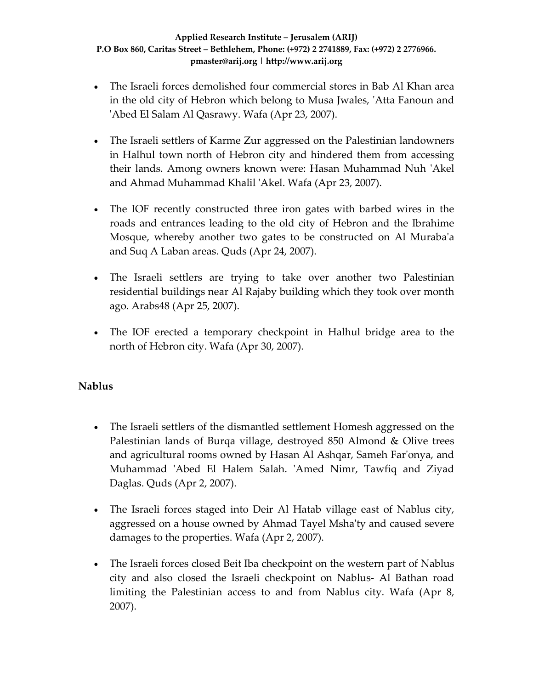- The Israeli forces demolished four commercial stores in Bab Al Khan area in the old city of Hebron which belong to Musa Jwales, ʹAtta Fanoun and ʹAbed El Salam Al Qasrawy. Wafa (Apr 23, 2007).
- The Israeli settlers of Karme Zur aggressed on the Palestinian landowners in Halhul town north of Hebron city and hindered them from accessing their lands. Among owners known were: Hasan Muhammad Nuh 'Akel and Ahmad Muhammad Khalil ʹAkel. Wafa (Apr 23, 2007).
- The IOF recently constructed three iron gates with barbed wires in the roads and entrances leading to the old city of Hebron and the Ibrahime Mosque, whereby another two gates to be constructed on Al Murabaʹa and Suq A Laban areas. Quds (Apr 24, 2007).
- The Israeli settlers are trying to take over another two Palestinian residential buildings near Al Rajaby building which they took over month ago. Arabs48 (Apr 25, 2007).
- The IOF erected a temporary checkpoint in Halhul bridge area to the north of Hebron city. Wafa (Apr 30, 2007).

### **Nablus**

- The Israeli settlers of the dismantled settlement Homesh aggressed on the Palestinian lands of Burqa village, destroyed 850 Almond & Olive trees and agricultural rooms owned by Hasan Al Ashqar, Sameh Farʹonya, and Muhammad 'Abed El Halem Salah. 'Amed Nimr, Tawfiq and Ziyad Daglas. Quds (Apr 2, 2007).
- The Israeli forces staged into Deir Al Hatab village east of Nablus city, aggressed on a house owned by Ahmad Tayel Mshaʹty and caused severe damages to the properties. Wafa (Apr 2, 2007).
- The Israeli forces closed Beit Iba checkpoint on the western part of Nablus city and also closed the Israeli checkpoint on Nablus‐ Al Bathan road limiting the Palestinian access to and from Nablus city. Wafa (Apr 8, 2007).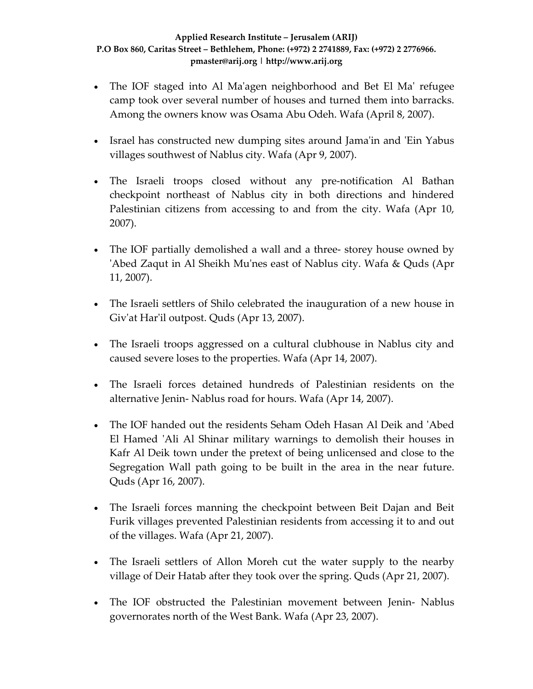- The IOF staged into Al Ma'agen neighborhood and Bet El Ma' refugee camp took over several number of houses and turned them into barracks. Among the owners know was Osama Abu Odeh. Wafa (April 8, 2007).
- Israel has constructed new dumping sites around Jama'in and 'Ein Yabus villages southwest of Nablus city. Wafa (Apr 9, 2007).
- The Israeli troops closed without any pre-notification Al Bathan checkpoint northeast of Nablus city in both directions and hindered Palestinian citizens from accessing to and from the city. Wafa (Apr 10, 2007).
- The IOF partially demolished a wall and a three- storey house owned by ʹAbed Zaqut in Al Sheikh Muʹnes east of Nablus city. Wafa & Quds (Apr 11, 2007).
- The Israeli settlers of Shilo celebrated the inauguration of a new house in Givʹat Harʹil outpost. Quds (Apr 13, 2007).
- The Israeli troops aggressed on a cultural clubhouse in Nablus city and caused severe loses to the properties. Wafa (Apr 14, 2007).
- The Israeli forces detained hundreds of Palestinian residents on the alternative Jenin‐ Nablus road for hours. Wafa (Apr 14, 2007).
- The IOF handed out the residents Seham Odeh Hasan Al Deik and ʹAbed El Hamed 'Ali Al Shinar military warnings to demolish their houses in Kafr Al Deik town under the pretext of being unlicensed and close to the Segregation Wall path going to be built in the area in the near future. Quds (Apr 16, 2007).
- The Israeli forces manning the checkpoint between Beit Dajan and Beit Furik villages prevented Palestinian residents from accessing it to and out of the villages. Wafa (Apr 21, 2007).
- The Israeli settlers of Allon Moreh cut the water supply to the nearby village of Deir Hatab after they took over the spring. Quds (Apr 21, 2007).
- The IOF obstructed the Palestinian movement between Jenin- Nablus governorates north of the West Bank. Wafa (Apr 23, 2007).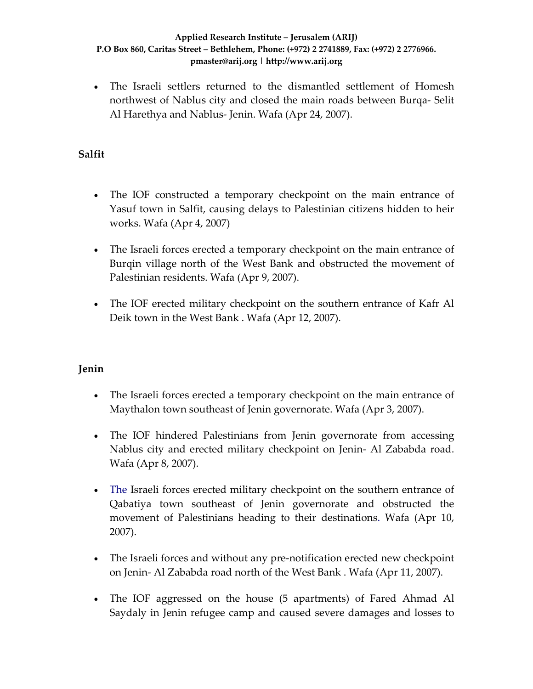• The Israeli settlers returned to the dismantled settlement of Homesh northwest of Nablus city and closed the main roads between Burqa‐ Selit Al Harethya and Nablus‐ Jenin. Wafa (Apr 24, 2007).

### **Salfit**

- The IOF constructed a temporary checkpoint on the main entrance of Yasuf town in Salfit, causing delays to Palestinian citizens hidden to heir works. Wafa (Apr 4, 2007)
- The Israeli forces erected a temporary checkpoint on the main entrance of Burqin village north of the West Bank and obstructed the movement of Palestinian residents. Wafa (Apr 9, 2007).
- The IOF erected military checkpoint on the southern entrance of Kafr Al Deik town in the West Bank . Wafa (Apr 12, 2007).

### **Jenin**

- The Israeli forces erected a temporary checkpoint on the main entrance of Maythalon town southeast of Jenin governorate. Wafa (Apr 3, 2007).
- The IOF hindered Palestinians from Jenin governorate from accessing Nablus city and erected military checkpoint on Jenin‐ Al Zababda road. Wafa (Apr 8, 2007).
- The Israeli forces erected military checkpoint on the southern entrance of Qabatiya town southeast of Jenin governorate and obstructed the movement of Palestinians heading to their destinations. Wafa (Apr 10, 2007).
- The Israeli forces and without any pre-notification erected new checkpoint on Jenin‐ Al Zababda road north of the West Bank . Wafa (Apr 11, 2007).
- The IOF aggressed on the house (5 apartments) of Fared Ahmad Al Saydaly in Jenin refugee camp and caused severe damages and losses to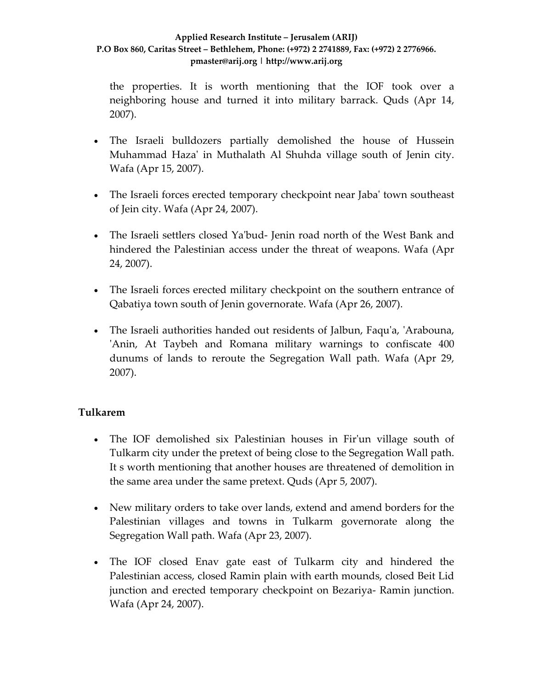the properties. It is worth mentioning that the IOF took over a neighboring house and turned it into military barrack. Quds (Apr 14, 2007).

- The Israeli bulldozers partially demolished the house of Hussein Muhammad Hazaʹ in Muthalath Al Shuhda village south of Jenin city. Wafa (Apr 15, 2007).
- The Israeli forces erected temporary checkpoint near Jaba' town southeast of Jein city. Wafa (Apr 24, 2007).
- The Israeli settlers closed Ya'bud- Jenin road north of the West Bank and hindered the Palestinian access under the threat of weapons. Wafa (Apr 24, 2007).
- The Israeli forces erected military checkpoint on the southern entrance of Qabatiya town south of Jenin governorate. Wafa (Apr 26, 2007).
- The Israeli authorities handed out residents of Jalbun, Faqu'a, 'Arabouna, 'Anin, At Taybeh and Romana military warnings to confiscate 400 dunums of lands to reroute the Segregation Wall path. Wafa (Apr 29, 2007).

### **Tulkarem**

- The IOF demolished six Palestinian houses in Fir'un village south of Tulkarm city under the pretext of being close to the Segregation Wall path. It s worth mentioning that another houses are threatened of demolition in the same area under the same pretext. Quds (Apr 5, 2007).
- New military orders to take over lands, extend and amend borders for the Palestinian villages and towns in Tulkarm governorate along the Segregation Wall path. Wafa (Apr 23, 2007).
- The IOF closed Enav gate east of Tulkarm city and hindered the Palestinian access, closed Ramin plain with earth mounds, closed Beit Lid junction and erected temporary checkpoint on Bezariya‐ Ramin junction. Wafa (Apr 24, 2007).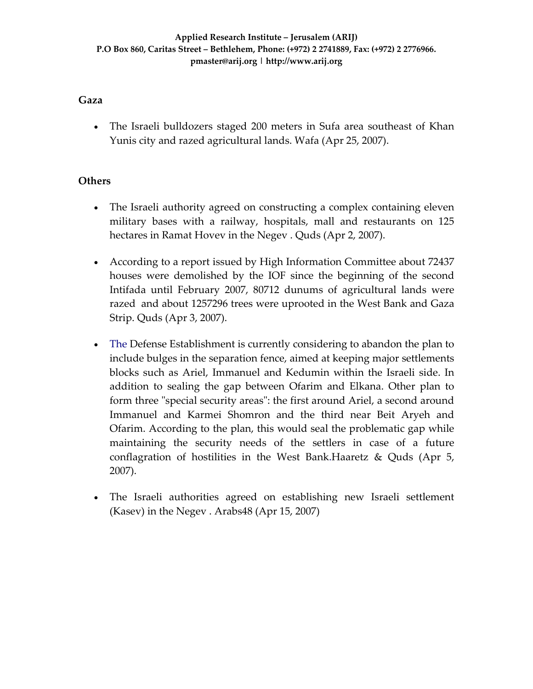### **Gaza**

• The Israeli bulldozers staged 200 meters in Sufa area southeast of Khan Yunis city and razed agricultural lands. Wafa (Apr 25, 2007).

### **Others**

- The Israeli authority agreed on constructing a complex containing eleven military bases with a railway, hospitals, mall and restaurants on 125 hectares in Ramat Hovev in the Negev . Quds (Apr 2, 2007).
- According to a report issued by High Information Committee about 72437 houses were demolished by the IOF since the beginning of the second Intifada until February 2007, 80712 dunums of agricultural lands were razed and about 1257296 trees were uprooted in the West Bank and Gaza Strip. Quds (Apr 3, 2007).
- The Defense Establishment is currently considering to abandon the plan to include bulges in the separation fence, aimed at keeping major settlements blocks such as Ariel, Immanuel and Kedumin within the Israeli side. In addition to sealing the gap between Ofarim and Elkana. Other plan to form three "special security areas": the first around Ariel, a second around Immanuel and Karmei Shomron and the third near Beit Aryeh and Ofarim. According to the plan, this would seal the problematic gap while maintaining the security needs of the settlers in case of a future conflagration of hostilities in the West Bank.Haaretz & Quds (Apr 5, 2007).
- The Israeli authorities agreed on establishing new Israeli settlement (Kasev) in the Negev . Arabs48 (Apr 15, 2007)